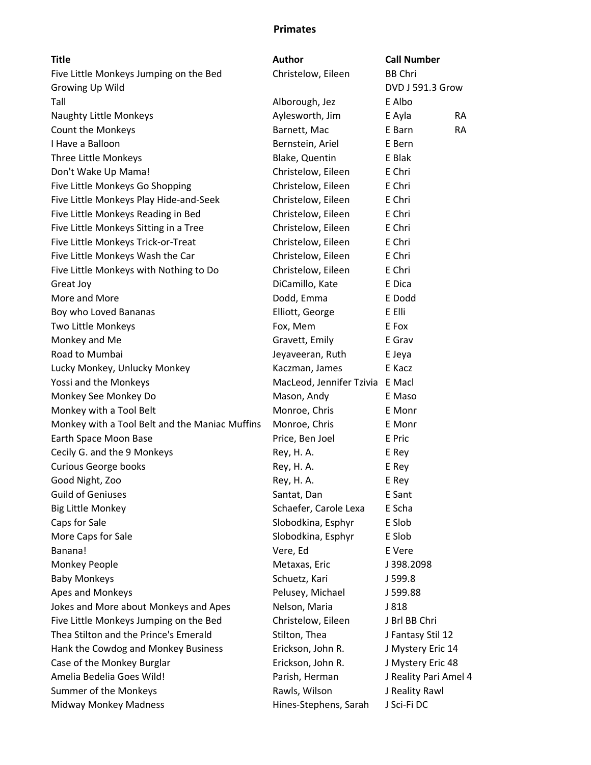## Primates

| <b>Title</b>                                   | <b>Author</b>                   | <b>Call Number</b>    |           |
|------------------------------------------------|---------------------------------|-----------------------|-----------|
| Five Little Monkeys Jumping on the Bed         | Christelow, Eileen              | <b>BB Chri</b>        |           |
| Growing Up Wild                                |                                 | DVD J 591.3 Grow      |           |
| Tall                                           | Alborough, Jez                  | E Albo                |           |
| Naughty Little Monkeys                         | Aylesworth, Jim                 | E Ayla                | <b>RA</b> |
| Count the Monkeys                              | Barnett, Mac                    | E Barn                | <b>RA</b> |
| I Have a Balloon                               | Bernstein, Ariel                | E Bern                |           |
| Three Little Monkeys                           | Blake, Quentin                  | E Blak                |           |
| Don't Wake Up Mama!                            | Christelow, Eileen              | E Chri                |           |
| Five Little Monkeys Go Shopping                | Christelow, Eileen              | E Chri                |           |
| Five Little Monkeys Play Hide-and-Seek         | Christelow, Eileen              | E Chri                |           |
| Five Little Monkeys Reading in Bed             | Christelow, Eileen              | E Chri                |           |
| Five Little Monkeys Sitting in a Tree          | Christelow, Eileen              | E Chri                |           |
| Five Little Monkeys Trick-or-Treat             | Christelow, Eileen              | E Chri                |           |
| Five Little Monkeys Wash the Car               | Christelow, Eileen              | E Chri                |           |
| Five Little Monkeys with Nothing to Do         | Christelow, Eileen              | E Chri                |           |
| Great Joy                                      | DiCamillo, Kate                 | E Dica                |           |
| More and More                                  | Dodd, Emma                      | E Dodd                |           |
| Boy who Loved Bananas                          | Elliott, George                 | E Elli                |           |
| Two Little Monkeys                             | Fox, Mem                        | E Fox                 |           |
| Monkey and Me                                  | Gravett, Emily                  | E Grav                |           |
| Road to Mumbai                                 | Jeyaveeran, Ruth                | E Jeya                |           |
| Lucky Monkey, Unlucky Monkey                   | Kaczman, James                  | E Kacz                |           |
| Yossi and the Monkeys                          | MacLeod, Jennifer Tzivia E Macl |                       |           |
| Monkey See Monkey Do                           | Mason, Andy                     | E Maso                |           |
| Monkey with a Tool Belt                        | Monroe, Chris                   | E Monr                |           |
| Monkey with a Tool Belt and the Maniac Muffins | Monroe, Chris                   | E Monr                |           |
| Earth Space Moon Base                          | Price, Ben Joel                 | E Pric                |           |
| Cecily G. and the 9 Monkeys                    | Rey, H. A.                      | E Rey                 |           |
| <b>Curious George books</b>                    | Rey, H. A.                      | E Rey                 |           |
| Good Night, Zoo                                | Rey, H. A.                      | E Rey                 |           |
| <b>Guild of Geniuses</b>                       | Santat, Dan                     | E Sant                |           |
| <b>Big Little Monkey</b>                       | Schaefer, Carole Lexa           | E Scha                |           |
| Caps for Sale                                  | Slobodkina, Esphyr              | E Slob                |           |
| More Caps for Sale                             | Slobodkina, Esphyr              | E Slob                |           |
| Banana!                                        | Vere, Ed                        | E Vere                |           |
| Monkey People                                  | Metaxas, Eric                   | J398.2098             |           |
| <b>Baby Monkeys</b>                            | Schuetz, Kari                   | J 599.8               |           |
| Apes and Monkeys                               | Pelusey, Michael                | J 599.88              |           |
| Jokes and More about Monkeys and Apes          | Nelson, Maria                   | J 818                 |           |
| Five Little Monkeys Jumping on the Bed         | Christelow, Eileen              | J Brl BB Chri         |           |
| Thea Stilton and the Prince's Emerald          | Stilton, Thea                   | J Fantasy Stil 12     |           |
| Hank the Cowdog and Monkey Business            | Erickson, John R.               | J Mystery Eric 14     |           |
| Case of the Monkey Burglar                     | Erickson, John R.               | J Mystery Eric 48     |           |
| Amelia Bedelia Goes Wild!                      | Parish, Herman                  | J Reality Pari Amel 4 |           |
| Summer of the Monkeys                          | Rawls, Wilson                   | J Reality Rawl        |           |
| Midway Monkey Madness                          | Hines-Stephens, Sarah           | J Sci-Fi DC           |           |